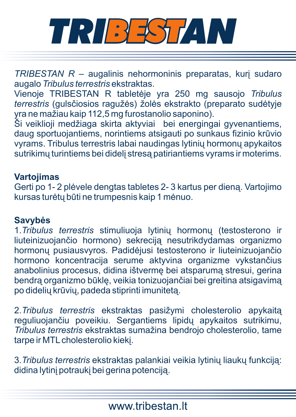

*TRIBESTAN R* – augalinis nehormoninis preparatas, kuri sudaro augalo *Tribulus terrestris* ekstraktas.

Vienoje TRIBESTAN R tabletëje yra 250 mg sausojo *Tribulus terrestris* (gulsèiosios ragužës) žolës ekstrakto (preparato sudëtyje yra ne mažiau kaip 112,5 mg furostanolio saponino).

Ši veiklioji medžiaga skirta aktyviai bei energingai gyvenantiems, daug sportuojantiems, norintiems atsigauti po sunkaus fizinio krûvio vyrams. Tribulus terrestris labai naudingas lytinių hormonų apykaitos sutrikimu turintiems bei dideli stresa patiriantiems vyrams ir moterims.

## **Vartojimas**

Gerti po 1- 2 plëvele dengtas tabletes 2- 3 kartus per dienà. Vartojimo kursas turëtø bûti ne trumpesnis kaip 1 mënuo.

## **Savybës**

1. Tribulus terrestris stimuliuoja lytinių hormonų (testosterono ir liuteinizuojanèio hormono) sekrecijà nesutrikdydamas organizmo hormonø pusiausvyros. Padidëjusi testosterono ir liuteinizuojanèio hormono koncentracija serume aktyvina organizme vykstanèius anabolinius procesus, didina ištverme bei atsparuma stresui, gerina bendrą organizmo būklę, veikia tonizuojančiai bei greitina atsigavima po dideliø krûviø, padeda stiprinti imunitetà.

2.*Tribulus terrestris* ekstraktas pasižymi cholesterolio apykaità reguliuojančiu poveikiu. Sergantiems lipidų apykaitos sutrikimu, *Tribulus terrestris* ekstraktas sumažina bendrojo cholesterolio, tame tarpe ir MTL cholesterolio kiekį.

3. Tribulus terrestris ekstraktas palankiai veikia lytinių liaukų funkciją: didina lytinį potraukį bei gerina potenciją.